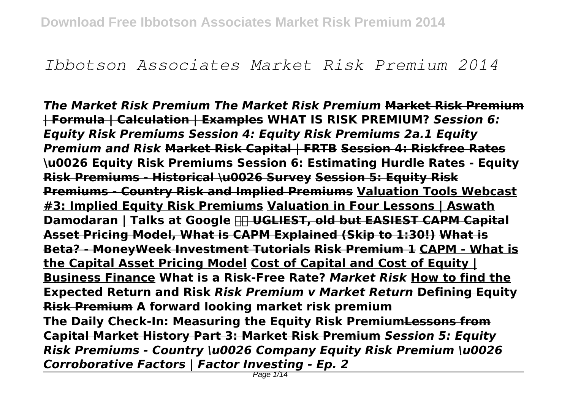# *Ibbotson Associates Market Risk Premium 2014*

*The Market Risk Premium The Market Risk Premium* **Market Risk Premium | Formula | Calculation | Examples WHAT IS RISK PREMIUM?** *Session 6: Equity Risk Premiums Session 4: Equity Risk Premiums 2a.1 Equity Premium and Risk* **Market Risk Capital | FRTB Session 4: Riskfree Rates \u0026 Equity Risk Premiums Session 6: Estimating Hurdle Rates - Equity Risk Premiums - Historical \u0026 Survey Session 5: Equity Risk Premiums - Country Risk and Implied Premiums Valuation Tools Webcast #3: Implied Equity Risk Premiums Valuation in Four Lessons | Aswath Damodaran | Talks at Google UGLIEST, old but EASIEST CAPM Capital Asset Pricing Model, What is CAPM Explained (Skip to 1:30!) What is Beta? - MoneyWeek Investment Tutorials Risk Premium 1 CAPM - What is the Capital Asset Pricing Model Cost of Capital and Cost of Equity | Business Finance What is a Risk-Free Rate?** *Market Risk* **How to find the Expected Return and Risk** *Risk Premium v Market Return* **Defining Equity Risk Premium A forward looking market risk premium** 

**The Daily Check-In: Measuring the Equity Risk PremiumLessons from Capital Market History Part 3: Market Risk Premium** *Session 5: Equity Risk Premiums - Country \u0026 Company Equity Risk Premium \u0026 Corroborative Factors | Factor Investing - Ep. 2*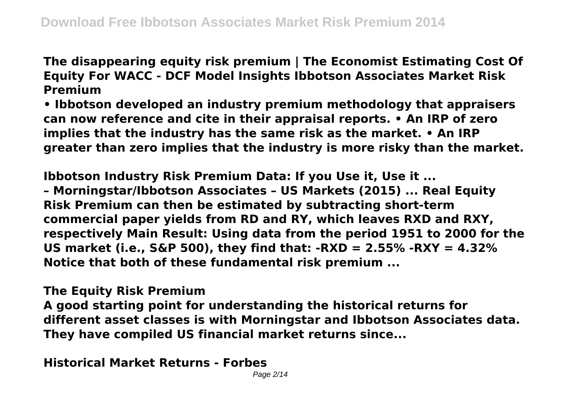**The disappearing equity risk premium | The Economist Estimating Cost Of Equity For WACC - DCF Model Insights Ibbotson Associates Market Risk Premium**

**• Ibbotson developed an industry premium methodology that appraisers can now reference and cite in their appraisal reports. • An IRP of zero implies that the industry has the same risk as the market. • An IRP greater than zero implies that the industry is more risky than the market.**

**Ibbotson Industry Risk Premium Data: If you Use it, Use it ... – Morningstar/Ibbotson Associates – US Markets (2015) ... Real Equity Risk Premium can then be estimated by subtracting short-term commercial paper yields from RD and RY, which leaves RXD and RXY, respectively Main Result: Using data from the period 1951 to 2000 for the US market (i.e., S&P 500), they find that: -RXD = 2.55% -RXY = 4.32% Notice that both of these fundamental risk premium ...**

**The Equity Risk Premium**

**A good starting point for understanding the historical returns for different asset classes is with Morningstar and Ibbotson Associates data. They have compiled US financial market returns since...**

**Historical Market Returns - Forbes**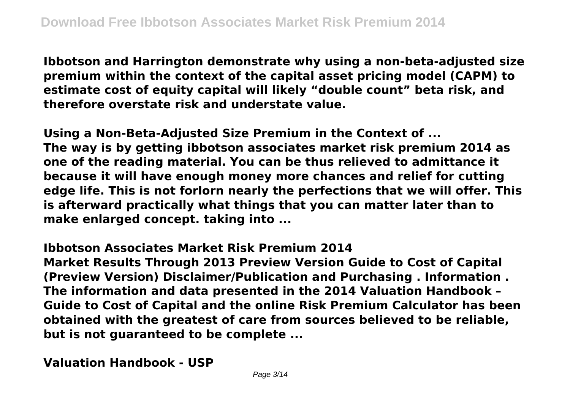**Ibbotson and Harrington demonstrate why using a non-beta-adjusted size premium within the context of the capital asset pricing model (CAPM) to estimate cost of equity capital will likely "double count" beta risk, and therefore overstate risk and understate value.**

**Using a Non-Beta-Adjusted Size Premium in the Context of ... The way is by getting ibbotson associates market risk premium 2014 as one of the reading material. You can be thus relieved to admittance it because it will have enough money more chances and relief for cutting edge life. This is not forlorn nearly the perfections that we will offer. This is afterward practically what things that you can matter later than to make enlarged concept. taking into ...**

**Ibbotson Associates Market Risk Premium 2014 Market Results Through 2013 Preview Version Guide to Cost of Capital (Preview Version) Disclaimer/Publication and Purchasing . Information . The information and data presented in the 2014 Valuation Handbook – Guide to Cost of Capital and the online Risk Premium Calculator has been obtained with the greatest of care from sources believed to be reliable, but is not guaranteed to be complete ...**

**Valuation Handbook - USP**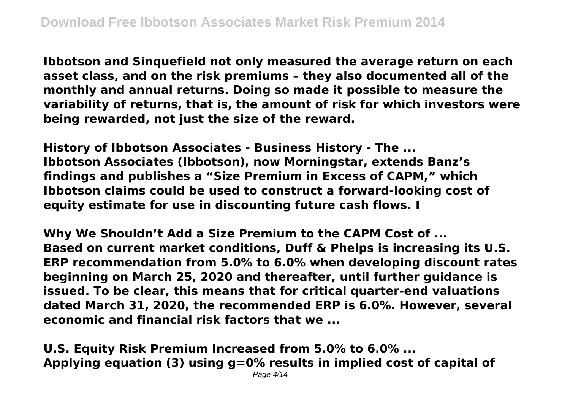**Ibbotson and Sinquefield not only measured the average return on each asset class, and on the risk premiums – they also documented all of the monthly and annual returns. Doing so made it possible to measure the variability of returns, that is, the amount of risk for which investors were being rewarded, not just the size of the reward.**

**History of Ibbotson Associates - Business History - The ... Ibbotson Associates (Ibbotson), now Morningstar, extends Banz's findings and publishes a "Size Premium in Excess of CAPM," which Ibbotson claims could be used to construct a forward-looking cost of equity estimate for use in discounting future cash flows. I**

**Why We Shouldn't Add a Size Premium to the CAPM Cost of ... Based on current market conditions, Duff & Phelps is increasing its U.S. ERP recommendation from 5.0% to 6.0% when developing discount rates beginning on March 25, 2020 and thereafter, until further guidance is issued. To be clear, this means that for critical quarter-end valuations dated March 31, 2020, the recommended ERP is 6.0%. However, several economic and financial risk factors that we ...**

**U.S. Equity Risk Premium Increased from 5.0% to 6.0% ... Applying equation (3) using g=0% results in implied cost of capital of**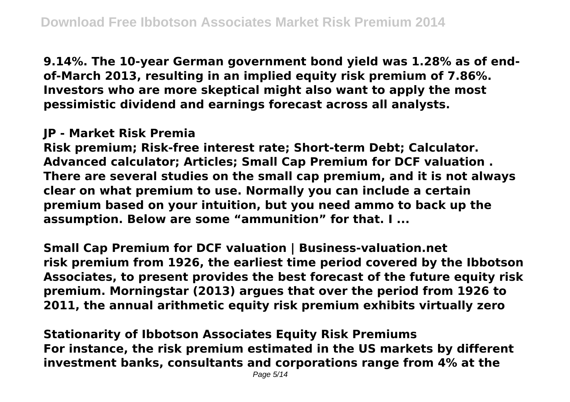**9.14%. The 10-year German government bond yield was 1.28% as of endof-March 2013, resulting in an implied equity risk premium of 7.86%. Investors who are more skeptical might also want to apply the most pessimistic dividend and earnings forecast across all analysts.**

## **JP - Market Risk Premia**

**Risk premium; Risk-free interest rate; Short-term Debt; Calculator. Advanced calculator; Articles; Small Cap Premium for DCF valuation . There are several studies on the small cap premium, and it is not always clear on what premium to use. Normally you can include a certain premium based on your intuition, but you need ammo to back up the assumption. Below are some "ammunition" for that. I ...**

**Small Cap Premium for DCF valuation | Business-valuation.net risk premium from 1926, the earliest time period covered by the Ibbotson Associates, to present provides the best forecast of the future equity risk premium. Morningstar (2013) argues that over the period from 1926 to 2011, the annual arithmetic equity risk premium exhibits virtually zero**

**Stationarity of Ibbotson Associates Equity Risk Premiums For instance, the risk premium estimated in the US markets by different investment banks, consultants and corporations range from 4% at the**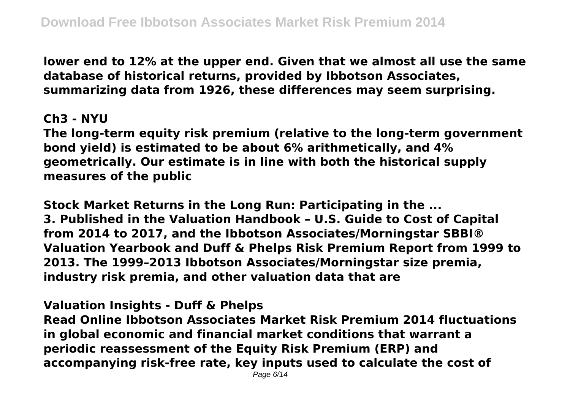**lower end to 12% at the upper end. Given that we almost all use the same database of historical returns, provided by Ibbotson Associates, summarizing data from 1926, these differences may seem surprising.**

## **Ch3 - NYU**

**The long-term equity risk premium (relative to the long-term government bond yield) is estimated to be about 6% arithmetically, and 4% geometrically. Our estimate is in line with both the historical supply measures of the public**

**Stock Market Returns in the Long Run: Participating in the ... 3. Published in the Valuation Handbook – U.S. Guide to Cost of Capital from 2014 to 2017, and the Ibbotson Associates/Morningstar SBBI® Valuation Yearbook and Duff & Phelps Risk Premium Report from 1999 to 2013. The 1999–2013 Ibbotson Associates/Morningstar size premia, industry risk premia, and other valuation data that are**

# **Valuation Insights - Duff & Phelps**

**Read Online Ibbotson Associates Market Risk Premium 2014 fluctuations in global economic and financial market conditions that warrant a periodic reassessment of the Equity Risk Premium (ERP) and accompanying risk-free rate, key inputs used to calculate the cost of**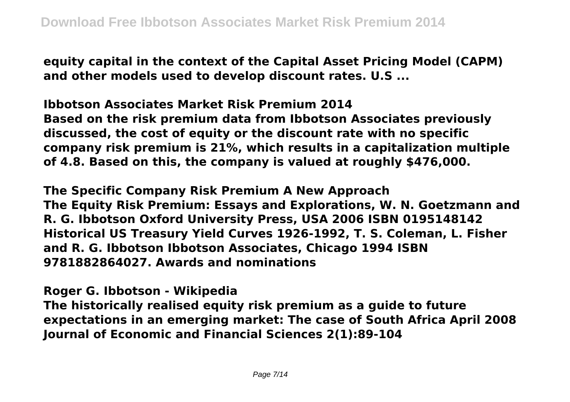**equity capital in the context of the Capital Asset Pricing Model (CAPM) and other models used to develop discount rates. U.S ...**

**Ibbotson Associates Market Risk Premium 2014 Based on the risk premium data from Ibbotson Associates previously discussed, the cost of equity or the discount rate with no specific company risk premium is 21%, which results in a capitalization multiple of 4.8. Based on this, the company is valued at roughly \$476,000.**

**The Specific Company Risk Premium A New Approach The Equity Risk Premium: Essays and Explorations, W. N. Goetzmann and R. G. Ibbotson Oxford University Press, USA 2006 ISBN 0195148142 Historical US Treasury Yield Curves 1926-1992, T. S. Coleman, L. Fisher and R. G. Ibbotson Ibbotson Associates, Chicago 1994 ISBN 9781882864027. Awards and nominations**

**Roger G. Ibbotson - Wikipedia**

**The historically realised equity risk premium as a guide to future expectations in an emerging market: The case of South Africa April 2008 Journal of Economic and Financial Sciences 2(1):89-104**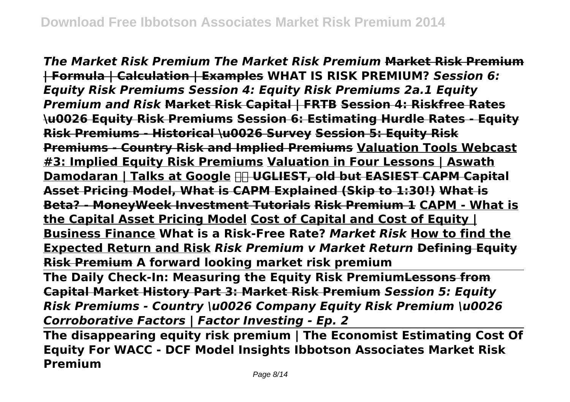*The Market Risk Premium The Market Risk Premium* **Market Risk Premium | Formula | Calculation | Examples WHAT IS RISK PREMIUM?** *Session 6: Equity Risk Premiums Session 4: Equity Risk Premiums 2a.1 Equity Premium and Risk* **Market Risk Capital | FRTB Session 4: Riskfree Rates \u0026 Equity Risk Premiums Session 6: Estimating Hurdle Rates - Equity Risk Premiums - Historical \u0026 Survey Session 5: Equity Risk Premiums - Country Risk and Implied Premiums Valuation Tools Webcast #3: Implied Equity Risk Premiums Valuation in Four Lessons | Aswath Damodaran | Talks at Google UGLIEST, old but EASIEST CAPM Capital Asset Pricing Model, What is CAPM Explained (Skip to 1:30!) What is Beta? - MoneyWeek Investment Tutorials Risk Premium 1 CAPM - What is the Capital Asset Pricing Model Cost of Capital and Cost of Equity | Business Finance What is a Risk-Free Rate?** *Market Risk* **How to find the Expected Return and Risk** *Risk Premium v Market Return* **Defining Equity Risk Premium A forward looking market risk premium The Daily Check-In: Measuring the Equity Risk PremiumLessons from Capital Market History Part 3: Market Risk Premium** *Session 5: Equity*

*Risk Premiums - Country \u0026 Company Equity Risk Premium \u0026 Corroborative Factors | Factor Investing - Ep. 2*

**The disappearing equity risk premium | The Economist Estimating Cost Of Equity For WACC - DCF Model Insights Ibbotson Associates Market Risk Premium**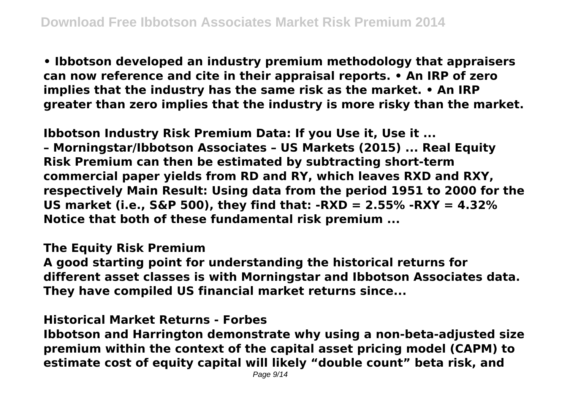**• Ibbotson developed an industry premium methodology that appraisers can now reference and cite in their appraisal reports. • An IRP of zero implies that the industry has the same risk as the market. • An IRP greater than zero implies that the industry is more risky than the market.**

**Ibbotson Industry Risk Premium Data: If you Use it, Use it ...**

**– Morningstar/Ibbotson Associates – US Markets (2015) ... Real Equity Risk Premium can then be estimated by subtracting short-term commercial paper yields from RD and RY, which leaves RXD and RXY, respectively Main Result: Using data from the period 1951 to 2000 for the US market (i.e., S&P 500), they find that: -RXD = 2.55% -RXY = 4.32% Notice that both of these fundamental risk premium ...**

#### **The Equity Risk Premium**

**A good starting point for understanding the historical returns for different asset classes is with Morningstar and Ibbotson Associates data. They have compiled US financial market returns since...**

## **Historical Market Returns - Forbes**

**Ibbotson and Harrington demonstrate why using a non-beta-adjusted size premium within the context of the capital asset pricing model (CAPM) to estimate cost of equity capital will likely "double count" beta risk, and**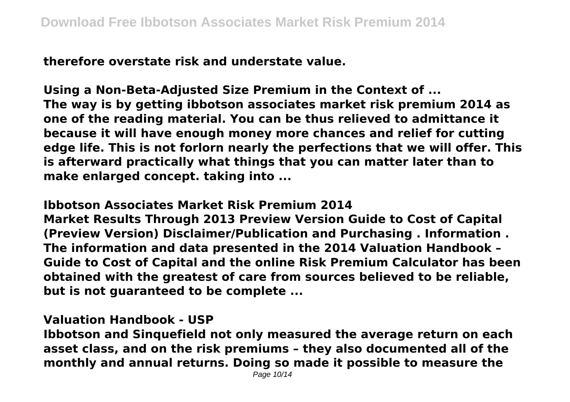**therefore overstate risk and understate value.**

**Using a Non-Beta-Adjusted Size Premium in the Context of ... The way is by getting ibbotson associates market risk premium 2014 as one of the reading material. You can be thus relieved to admittance it because it will have enough money more chances and relief for cutting edge life. This is not forlorn nearly the perfections that we will offer. This is afterward practically what things that you can matter later than to make enlarged concept. taking into ...**

**Ibbotson Associates Market Risk Premium 2014 Market Results Through 2013 Preview Version Guide to Cost of Capital (Preview Version) Disclaimer/Publication and Purchasing . Information . The information and data presented in the 2014 Valuation Handbook – Guide to Cost of Capital and the online Risk Premium Calculator has been obtained with the greatest of care from sources believed to be reliable, but is not guaranteed to be complete ...**

**Valuation Handbook - USP**

**Ibbotson and Sinquefield not only measured the average return on each asset class, and on the risk premiums – they also documented all of the monthly and annual returns. Doing so made it possible to measure the**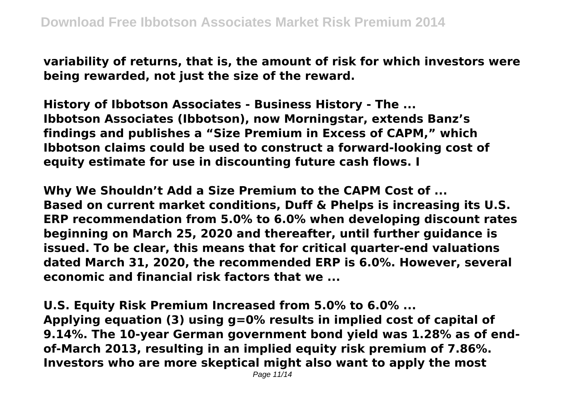**variability of returns, that is, the amount of risk for which investors were being rewarded, not just the size of the reward.**

**History of Ibbotson Associates - Business History - The ... Ibbotson Associates (Ibbotson), now Morningstar, extends Banz's findings and publishes a "Size Premium in Excess of CAPM," which Ibbotson claims could be used to construct a forward-looking cost of equity estimate for use in discounting future cash flows. I**

**Why We Shouldn't Add a Size Premium to the CAPM Cost of ... Based on current market conditions, Duff & Phelps is increasing its U.S. ERP recommendation from 5.0% to 6.0% when developing discount rates beginning on March 25, 2020 and thereafter, until further guidance is issued. To be clear, this means that for critical quarter-end valuations dated March 31, 2020, the recommended ERP is 6.0%. However, several economic and financial risk factors that we ...**

**U.S. Equity Risk Premium Increased from 5.0% to 6.0% ... Applying equation (3) using g=0% results in implied cost of capital of 9.14%. The 10-year German government bond yield was 1.28% as of endof-March 2013, resulting in an implied equity risk premium of 7.86%. Investors who are more skeptical might also want to apply the most**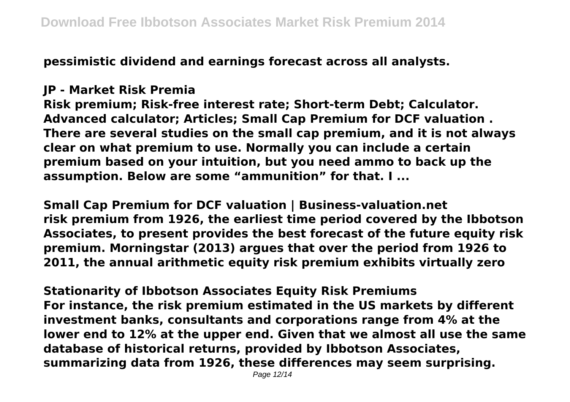**pessimistic dividend and earnings forecast across all analysts.**

## **JP - Market Risk Premia**

**Risk premium; Risk-free interest rate; Short-term Debt; Calculator. Advanced calculator; Articles; Small Cap Premium for DCF valuation . There are several studies on the small cap premium, and it is not always clear on what premium to use. Normally you can include a certain premium based on your intuition, but you need ammo to back up the assumption. Below are some "ammunition" for that. I ...**

**Small Cap Premium for DCF valuation | Business-valuation.net risk premium from 1926, the earliest time period covered by the Ibbotson Associates, to present provides the best forecast of the future equity risk premium. Morningstar (2013) argues that over the period from 1926 to 2011, the annual arithmetic equity risk premium exhibits virtually zero**

**Stationarity of Ibbotson Associates Equity Risk Premiums For instance, the risk premium estimated in the US markets by different investment banks, consultants and corporations range from 4% at the lower end to 12% at the upper end. Given that we almost all use the same database of historical returns, provided by Ibbotson Associates, summarizing data from 1926, these differences may seem surprising.**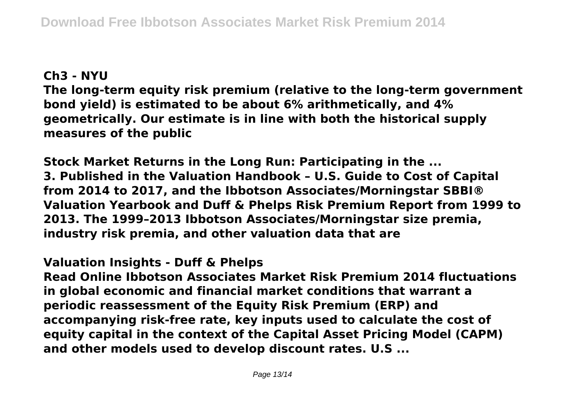# **Ch3 - NYU**

**The long-term equity risk premium (relative to the long-term government bond yield) is estimated to be about 6% arithmetically, and 4% geometrically. Our estimate is in line with both the historical supply measures of the public**

**Stock Market Returns in the Long Run: Participating in the ... 3. Published in the Valuation Handbook – U.S. Guide to Cost of Capital from 2014 to 2017, and the Ibbotson Associates/Morningstar SBBI® Valuation Yearbook and Duff & Phelps Risk Premium Report from 1999 to 2013. The 1999–2013 Ibbotson Associates/Morningstar size premia, industry risk premia, and other valuation data that are**

# **Valuation Insights - Duff & Phelps**

**Read Online Ibbotson Associates Market Risk Premium 2014 fluctuations in global economic and financial market conditions that warrant a periodic reassessment of the Equity Risk Premium (ERP) and accompanying risk-free rate, key inputs used to calculate the cost of equity capital in the context of the Capital Asset Pricing Model (CAPM) and other models used to develop discount rates. U.S ...**